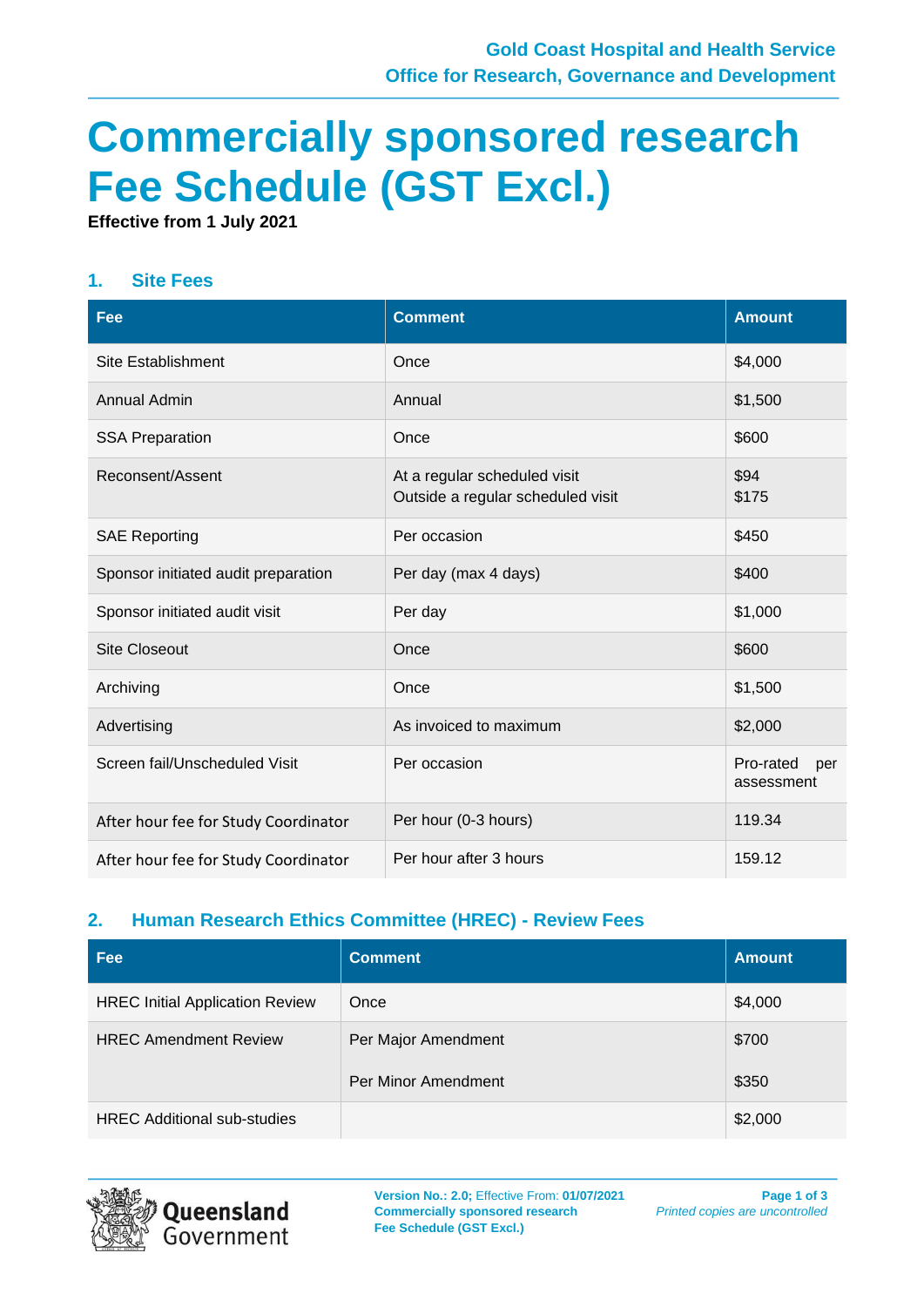# **Commercially sponsored research Fee Schedule (GST Excl.)**

**Effective from 1 July 2021**

#### **1. Site Fees**

| Fee                                  | <b>Comment</b>                                                    | <b>Amount</b>                  |
|--------------------------------------|-------------------------------------------------------------------|--------------------------------|
| <b>Site Establishment</b>            | Once                                                              | \$4,000                        |
| Annual Admin                         | Annual                                                            | \$1,500                        |
| <b>SSA Preparation</b>               | Once                                                              | \$600                          |
| Reconsent/Assent                     | At a regular scheduled visit<br>Outside a regular scheduled visit | \$94<br>\$175                  |
| <b>SAE Reporting</b>                 | Per occasion                                                      | \$450                          |
| Sponsor initiated audit preparation  | Per day (max 4 days)                                              | \$400                          |
| Sponsor initiated audit visit        | Per day                                                           | \$1,000                        |
| <b>Site Closeout</b>                 | Once                                                              | \$600                          |
| Archiving                            | Once                                                              | \$1,500                        |
| Advertising                          | As invoiced to maximum                                            | \$2,000                        |
| Screen fail/Unscheduled Visit        | Per occasion                                                      | Pro-rated<br>per<br>assessment |
| After hour fee for Study Coordinator | Per hour (0-3 hours)                                              | 119.34                         |
| After hour fee for Study Coordinator | Per hour after 3 hours                                            | 159.12                         |

#### **2. Human Research Ethics Committee (HREC) - Review Fees**

| Fee                                    | <b>Comment</b>                             | <b>Amount</b>  |
|----------------------------------------|--------------------------------------------|----------------|
| <b>HREC Initial Application Review</b> | Once                                       | \$4,000        |
| <b>HREC Amendment Review</b>           | Per Major Amendment<br>Per Minor Amendment | \$700<br>\$350 |
| <b>HREC Additional sub-studies</b>     |                                            | \$2,000        |



**Version No.: 2.0;** Effective From: **01/07/2021 Commercially sponsored research Fee Schedule (GST Excl.)**

**Page 1 of 3** *Printed copies are uncontrolled*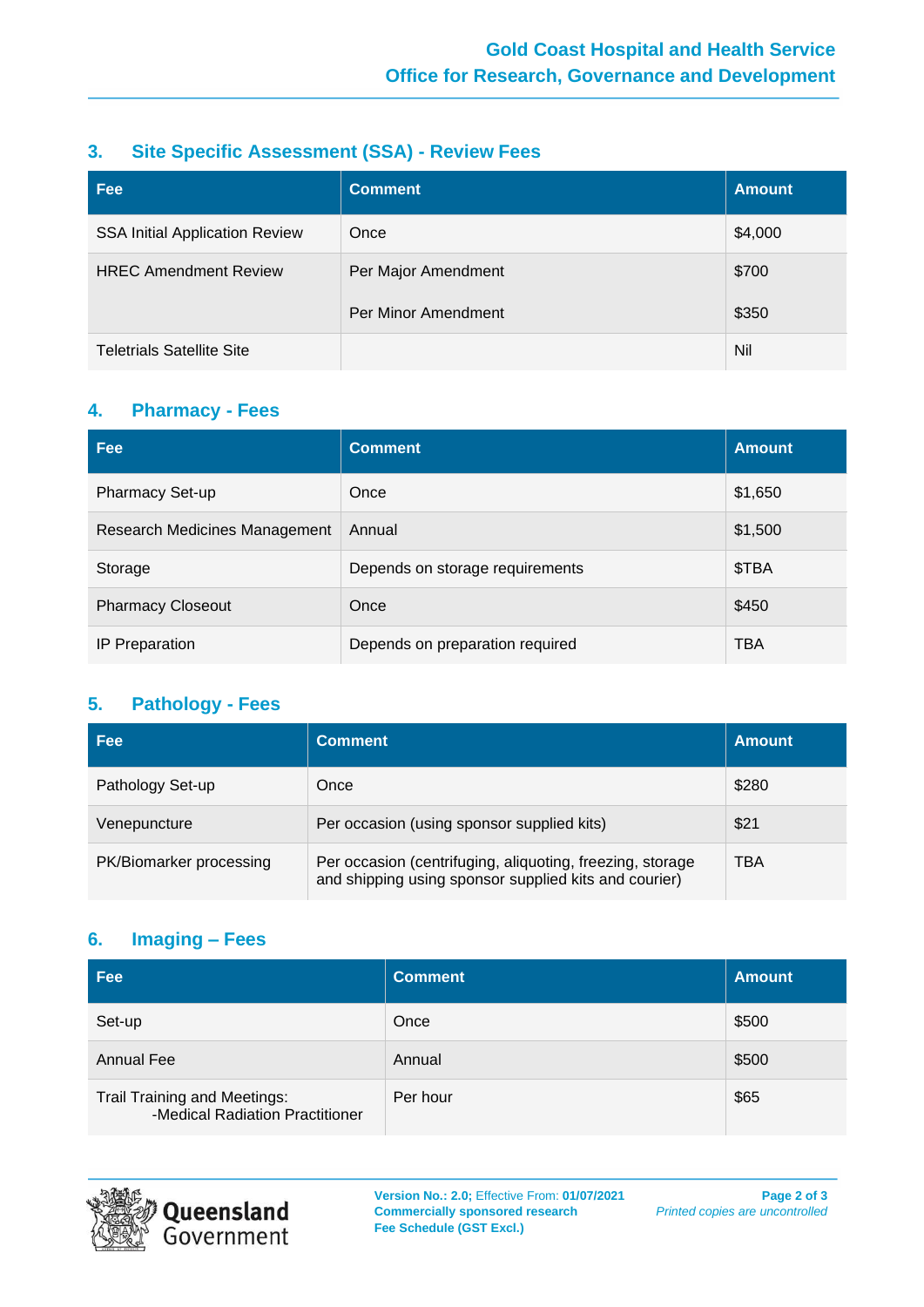#### **3. Site Specific Assessment (SSA) - Review Fees**

| Fee                                   | <b>Comment</b>      | <b>Amount</b> |
|---------------------------------------|---------------------|---------------|
| <b>SSA Initial Application Review</b> | Once                | \$4,000       |
| <b>HREC Amendment Review</b>          | Per Major Amendment | \$700         |
|                                       | Per Minor Amendment | \$350         |
| <b>Teletrials Satellite Site</b>      |                     | Nil           |

#### **4. Pharmacy - Fees**

| Fee                           | <b>Comment</b>                  | <b>Amount</b> |
|-------------------------------|---------------------------------|---------------|
| <b>Pharmacy Set-up</b>        | Once                            | \$1,650       |
| Research Medicines Management | Annual                          | \$1,500       |
| Storage                       | Depends on storage requirements | \$TBA         |
| <b>Pharmacy Closeout</b>      | Once                            | \$450         |
| <b>IP Preparation</b>         | Depends on preparation required | <b>TBA</b>    |

#### **5. Pathology - Fees**

| <b>Fee</b>              | <b>Comment</b>                                                                                                     | <b>Amount</b> |
|-------------------------|--------------------------------------------------------------------------------------------------------------------|---------------|
| Pathology Set-up        | Once                                                                                                               | \$280         |
| Venepuncture            | Per occasion (using sponsor supplied kits)                                                                         | \$21          |
| PK/Biomarker processing | Per occasion (centrifuging, aliquoting, freezing, storage<br>and shipping using sponsor supplied kits and courier) | <b>TBA</b>    |

## **6. Imaging – Fees**

| Fee                                                             | <b>Comment</b> | <b>Amount</b> |
|-----------------------------------------------------------------|----------------|---------------|
| Set-up                                                          | Once           | \$500         |
| <b>Annual Fee</b>                                               | Annual         | \$500         |
| Trail Training and Meetings:<br>-Medical Radiation Practitioner | Per hour       | \$65          |



**Version No.: 2.0;** Effective From: **01/07/2021 Commercially sponsored research Fee Schedule (GST Excl.)**

**Page 2 of 3** *Printed copies are uncontrolled*